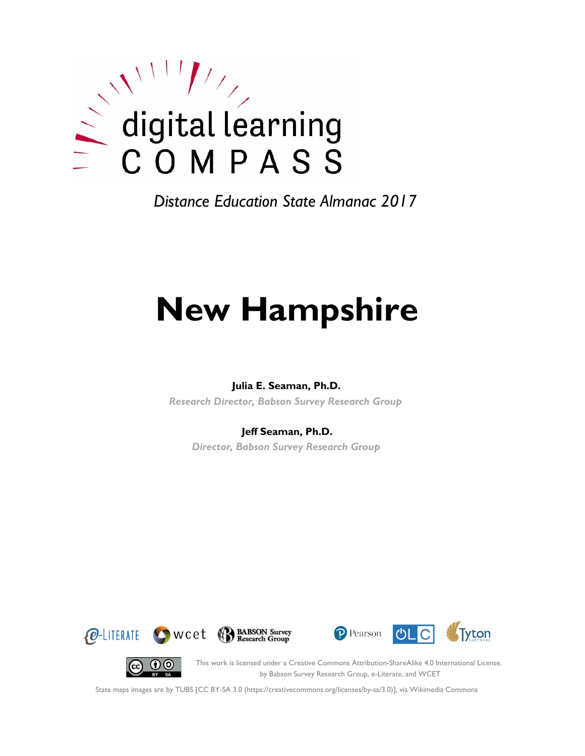

*Distance Education State Almanac 2017*

# **New Hampshire**

#### **Julia E. Seaman, Ph.D.**

*Research Director, Babson Survey Research Group*

#### **Jeff Seaman, Ph.D.**

*Director, Babson Survey Research Group*









This work is licensed under a Creative Commons Attribution-ShareAlike 4.0 International License. by Babson Survey Research Group, e-Literate, and WCET

State maps images are by TUBS [CC BY-SA 3.0 (https://creativecommons.org/licenses/by-sa/3.0)], via Wikimedia Commons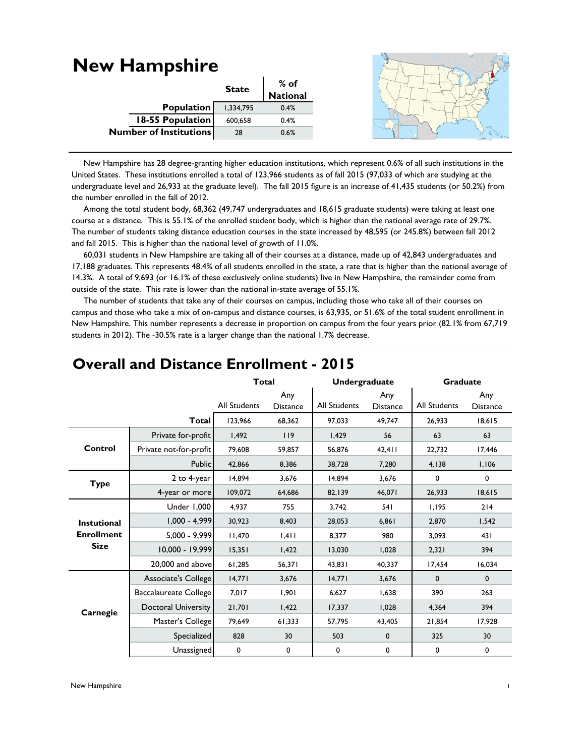#### **New Hampshire State % of National** 1,334,795 0.4% 600,658 0.4% 28 0.6% **Population 18-55 Population Number of Institutions**

 New Hampshire has 28 degree-granting higher education institutions, which represent 0.6% of all such institutions in the United States. These institutions enrolled a total of 123,966 students as of fall 2015 (97,033 of which are studying at the undergraduate level and 26,933 at the graduate level). The fall 2015 figure is an increase of 41,435 students (or 50.2%) from the number enrolled in the fall of 2012.

Among the total student body, 68,362 (49,747 undergraduates and 18,615 graduate students) were taking at least one course at a distance. This is 55.1% of the enrolled student body, which is higher than the national average rate of 29.7%. The number of students taking distance education courses in the state increased by 48,595 (or 245.8%) between fall 2012 and fall 2015. This is higher than the national level of growth of 11.0%.

 60,031 students in New Hampshire are taking all of their courses at a distance, made up of 42,843 undergraduates and 17,188 graduates. This represents 48.4% of all students enrolled in the state, a rate that is higher than the national average of 14.3%. A total of 9,693 (or 16.1% of these exclusively online students) live in New Hampshire, the remainder come from outside of the state. This rate is lower than the national in-state average of 55.1%.

 The number of students that take any of their courses on campus, including those who take all of their courses on campus and those who take a mix of on-campus and distance courses, is 63,935, or 51.6% of the total student enrollment in New Hampshire. This number represents a decrease in proportion on campus from the four years prior (82.1% from 67,719 students in 2012). The -30.5% rate is a larger change than the national 1.7% decrease.

|                    |                              | <b>Total</b>        |                        | <b>Undergraduate</b> |                        | <b>Graduate</b> |                        |
|--------------------|------------------------------|---------------------|------------------------|----------------------|------------------------|-----------------|------------------------|
|                    |                              | <b>All Students</b> | Any<br><b>Distance</b> | All Students         | Any<br><b>Distance</b> | All Students    | Any<br><b>Distance</b> |
|                    | <b>Total</b>                 | 123,966             | 68,362                 | 97,033               | 49,747                 | 26,933          | 18,615                 |
|                    | Private for-profit           | 1,492               | 119                    | 1,429                | 56                     | 63              | 63                     |
| Control            | Private not-for-profit       | 79,608              | 59,857                 | 56,876               | 42,411                 | 22,732          | 17,446                 |
|                    | Public                       | 42,866              | 8,386                  | 38,728               | 7,280                  | 4,138           | 1,106                  |
| <b>Type</b>        | 2 to 4-year                  | 14,894              | 3,676                  | 14.894               | 3,676                  | 0               | $\mathbf 0$            |
|                    | 4-year or more               | 109,072             | 64,686                 | 82,139               | 46,071                 | 26,933          | 18,615                 |
|                    | Under 1,000                  | 4,937               | 755                    | 3,742                | 54 I                   | 1,195           | 214                    |
| <b>Instutional</b> | $1,000 - 4,999$              | 30,923              | 8,403                  | 28,053               | 6,861                  | 2,870           | 1,542                  |
| <b>Enrollment</b>  | $5,000 - 9,999$              | 11,470              | 1,411                  | 8,377                | 980                    | 3,093           | 431                    |
| <b>Size</b>        | 10,000 - 19,999              | 15,351              | 1,422                  | 13,030               | 1,028                  | 2,321           | 394                    |
|                    | 20,000 and above             | 61,285              | 56,371                 | 43,831               | 40,337                 | 17,454          | 16,034                 |
|                    | Associate's College          | 14,771              | 3,676                  | 14,771               | 3,676                  | $\mathbf 0$     | $\mathbf 0$            |
|                    | <b>Baccalaureate College</b> | 7,017               | 1,901                  | 6,627                | 1,638                  | 390             | 263                    |
| Carnegie           | <b>Doctoral University</b>   | 21,701              | 1,422                  | 17,337               | 1,028                  | 4,364           | 394                    |
|                    | Master's College             | 79,649              | 61,333                 | 57,795               | 43,405                 | 21,854          | 17,928                 |
|                    | Specialized                  | 828                 | 30                     | 503                  | $\mathbf 0$            | 325             | 30                     |
|                    | Unassigned                   | 0                   | 0                      | 0                    | 0                      | 0               | 0                      |

## **Overall and Distance Enrollment - 2015**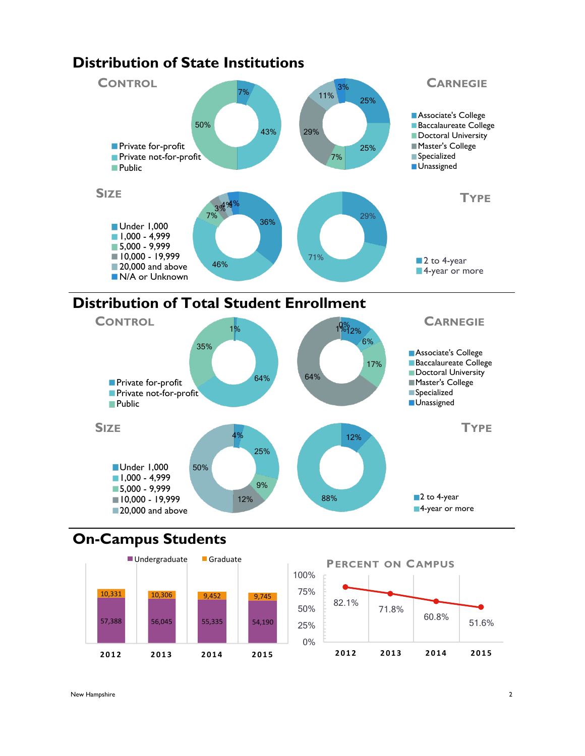



# **On-Campus Students**



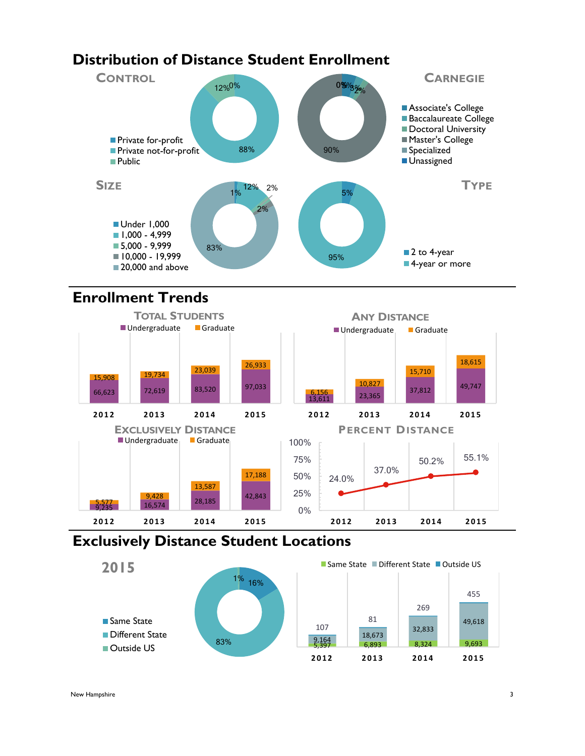# **Distribution of Distance Student Enrollment**



## **Enrollment Trends**



## **Exclusively Distance Student Locations**